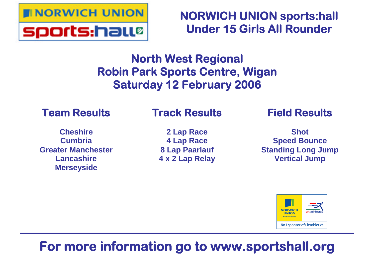

**NORWICH UNION sports:hall Under 15 Girls All Rounder**

# **North West Regional Robin Park Sports Centre, Wigan Saturday 12 February 2006**

# **Team Results**

# **Track Results**

**Cheshire Cumbria Greater Manchester Lancashire Merseyside**

**2 Lap Race 4 Lap Race 8 Lap Paarlauf 4 x 2 Lap Relay** **Field Results**

**Shot Speed Bounce Standing Long Jump Vertical Jump**



# **For more information go to www.sportshall.org**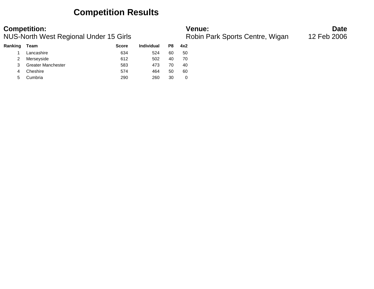### **Competition Results**

**Competition: Date**<br>**Robin Park Sports Centre, Wigan** 12 Feb 2006<br>**Robin Park Sports Centre, Wigan** 12 Feb 2006 NUS-North West Regional Under 15 Girls

| Ranking | Team                      | <b>Score</b> | <b>Individual</b> | P8 | 4x2 |
|---------|---------------------------|--------------|-------------------|----|-----|
|         | Lancashire                | 634          | 524               | 60 | 50  |
| 2       | Merseyside                | 612          | 502               | 40 | 70  |
|         | <b>Greater Manchester</b> | 583          | 473               | 70 | 40  |
| 4       | Cheshire                  | 574          | 464               | 50 | 60  |
| 5       | Cumbria                   | 290          | 260               | 30 |     |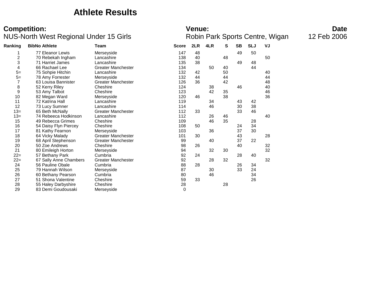### **Athlete Results**

### **Competition: Date**<br>**Robin Park Sports Centre, Wigan** 12 Feb 2006<br>**Robin Park Sports Centre, Wigan** 12 Feb 2006 NUS-North West Regional Under 15 Girls

| Ranking | <b>BibNo Athlete</b>   | Team                      | <b>Score</b> | 2LR | 4LR | s  | <b>SB</b> | <b>SLJ</b> | VJ |
|---------|------------------------|---------------------------|--------------|-----|-----|----|-----------|------------|----|
|         | 77 Eleanor Lewis       | Merseyside                | 147          | 48  |     |    | 49        | 50         |    |
| 2       | 70 Rebekah Ingham      | Lancashire                | 138          | 40  |     | 48 |           |            | 50 |
| 3       | 71 Harriet James       | Lancashire                | 135          | 38  |     |    | 49        | 48         |    |
| 4       | 66 Rachael Lee         | <b>Greater Manchester</b> | 134          |     | 50  | 40 |           | 44         |    |
| $5=$    | 75 Sohpie Hitchin      | Lancashire                | 132          | 42  |     | 50 |           |            | 40 |
| $5=$    | 78 Amy Forrester       | Merseyside                | 132          | 44  |     | 44 |           |            | 44 |
| 7       | 63 Louisa Bannister    | <b>Greater Manchester</b> | 126          | 36  |     | 42 |           |            | 48 |
| 8       | 52 Kerry Riley         | Cheshire                  | 124          |     | 38  |    | 46        |            | 40 |
| 9       | 53 Amy Talbot          | Cheshire                  | 123          |     | 42  | 35 |           |            | 46 |
| 10      | 82 Megan Ward          | Merseyside                | 120          | 46  |     | 38 |           |            | 36 |
| 11      | 72 Katrina Hall        | Lancashire                | 119          |     | 34  |    | 43        | 42         |    |
| 12      | 73 Lucy Sumner         | Lancashire                | 114          |     | 46  |    | 30        | 38         |    |
| $13 =$  | 65 Beth McNally        | <b>Greater Manchester</b> | 112          | 33  |     |    | 33        | 46         |    |
| $13 =$  | 74 Rebeeca Hodkinson   | Lancashire                | 112          |     | 26  | 46 |           |            | 40 |
| 15      | 49 Rebecca Grimes      | Cheshire                  | 109          |     | 46  | 35 |           | 28         |    |
| 16      | 54 Daisy Flyn Piercey  | Cheshire                  | 108          | 50  |     |    | 24        | 34         |    |
| 17      | 81 Kathy Fearnon       | Merseyside                | 103          |     | 36  |    | 37        | 30         |    |
| 18      | 64 Vicky Malady        | <b>Greater Manchester</b> | 101          | 30  |     |    | 43        |            | 28 |
| 19      | 68 April Stephenson    | <b>Greater Manchester</b> | 99           |     | 40  |    | 37        | 22         |    |
| 20      | 50 Zoe Andrews         | Cheshire                  | 98           | 26  |     |    | 40        |            | 32 |
| 21      | 80 Emileigh Horton     | Merseyside                | 94           |     | 32  | 30 |           |            | 32 |
| $22 =$  | 57 Bethany Park        | Cumbria                   | 92           | 24  |     |    | 28        | 40         |    |
| $22 =$  | 67 Sally Anne Chambers | <b>Greater Manchester</b> | 92           |     | 28  | 32 |           |            | 32 |
| 24      | 56 Pauline Obale       | Cumbria                   | 88           | 28  |     |    | 26        | 34         |    |
| 25      | 79 Hannah Wilson       | Merseyside                | 87           |     | 30  |    | 33        | 24         |    |
| 26      | 60 Bethany Pearson     | Cumbria                   | 80           |     | 46  |    |           | 34         |    |
| 27      | 51 Shona Valentine     | Cheshire                  | 59           | 33  |     |    |           | 26         |    |
| 28      | 55 Haley Darbyshire    | Cheshire                  | 28           |     |     | 28 |           |            |    |
| 29      | 83 Demi Goudousaki     | Merseyside                | 0            |     |     |    |           |            |    |
|         |                        |                           |              |     |     |    |           |            |    |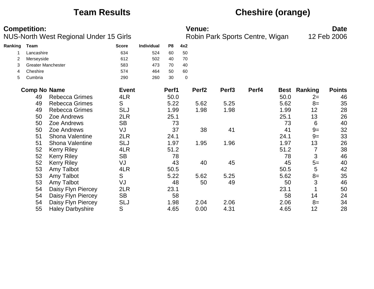# **Team Results Cheshire (orange)**

|         | <b>Competition:</b>       |                                               |              |            |       |             | <b>Venue:</b>     |                                 |       |      |                     | <b>Date</b>   |
|---------|---------------------------|-----------------------------------------------|--------------|------------|-------|-------------|-------------------|---------------------------------|-------|------|---------------------|---------------|
|         |                           | <b>NUS-North West Regional Under 15 Girls</b> |              |            |       |             |                   | Robin Park Sports Centre, Wigan |       |      |                     | 12 Feb 2006   |
| Ranking | Team                      |                                               | <b>Score</b> | Individual | P8    | 4x2         |                   |                                 |       |      |                     |               |
|         | Lancashire                |                                               | 634          | 524        | 60    | 50          |                   |                                 |       |      |                     |               |
| 2       | Merseyside                |                                               | 612          | 502        | 40    | 70          |                   |                                 |       |      |                     |               |
| 3       | <b>Greater Manchester</b> |                                               | 583          | 473        | 70    | 40          |                   |                                 |       |      |                     |               |
| 4       | Cheshire                  |                                               | 574          | 464        | 50    | 60          |                   |                                 |       |      |                     |               |
| 5       | Cumbria                   |                                               | 290          | 260        | 30    | $\mathbf 0$ |                   |                                 |       |      |                     |               |
|         | <b>Comp No Name</b>       |                                               | <b>Event</b> |            | Perf1 |             | Perf <sub>2</sub> | Perf <sub>3</sub>               | Perf4 |      | <b>Best Ranking</b> | <b>Points</b> |
|         | 49                        | <b>Rebecca Grimes</b>                         | 4LR          |            | 50.0  |             |                   |                                 |       | 50.0 | $2=$                | 46            |
|         | 49                        | Rebecca Grimes                                | S            |            | 5.22  |             | 5.62              | 5.25                            |       | 5.62 | $8=$                | 35            |
|         | 49                        | <b>Rebecca Grimes</b>                         | <b>SLJ</b>   |            | 1.99  |             | 1.98              | 1.98                            |       | 1.99 | 12                  | 28            |
|         | 50                        | Zoe Andrews                                   | 2LR          |            | 25.1  |             |                   |                                 |       | 25.1 | 13                  | 26            |
|         | 50                        | Zoe Andrews                                   | <b>SB</b>    |            | 73    |             |                   |                                 |       | 73   | 6                   | 40            |
|         | 50                        | Zoe Andrews                                   | VJ           |            | 37    |             | 38                | 41                              |       | 41   | $9=$                | 32            |
|         | 51                        | <b>Shona Valentine</b>                        | 2LR          |            | 24.1  |             |                   |                                 |       | 24.1 | $9=$                | 33            |
|         | 51                        | Shona Valentine                               | <b>SLJ</b>   |            | 1.97  |             | 1.95              | 1.96                            |       | 1.97 | 13                  | 26            |
|         | 52                        | <b>Kerry Riley</b>                            | 4LR          |            | 51.2  |             |                   |                                 |       | 51.2 | 7                   | 38            |
|         | 52                        | <b>Kerry Riley</b>                            | <b>SB</b>    |            | 78    |             |                   |                                 |       | 78   | 3                   | 46            |
|         | 52                        | <b>Kerry Riley</b>                            | VJ           |            | 43    |             | 40                | 45                              |       | 45   | $5=$                | 40            |
|         | 53                        | Amy Talbot                                    | 4LR          |            | 50.5  |             |                   |                                 |       | 50.5 | 5                   | 42            |
|         | 53                        | Amy Talbot                                    | S            |            | 5.22  |             | 5.62              | 5.25                            |       | 5.62 | $8=$                | 35            |
|         | 53                        | Amy Talbot                                    | VJ           |            | 48    |             | 50                | 49                              |       | 50   | 3                   | 46            |
|         | 54                        | Daisy Flyn Piercey                            | 2LR          |            | 23.1  |             |                   |                                 |       | 23.1 |                     | 50            |
|         | 54                        | Daisy Flyn Piercey                            | <b>SB</b>    |            | 58    |             |                   |                                 |       | 58   | 14                  | 24            |
|         | 54                        | Daisy Flyn Piercey                            | <b>SLJ</b>   |            | 1.98  |             | 2.04              | 2.06                            |       | 2.06 | $8=$                | 34            |
|         | 55                        | <b>Haley Darbyshire</b>                       | S            |            | 4.65  |             | 0.00              | 4.31                            |       | 4.65 | 12                  | 28            |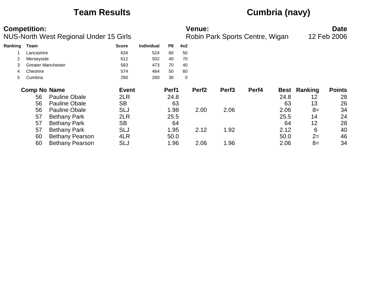# **Team Results Cumbria (navy)**

|         | <b>Competition:</b><br><b>NUS-North West Regional Under 15 Girls</b> |                           |              |                   |       |     | <b>Venue:</b><br>Robin Park Sports Centre, Wigan | <b>Date</b><br>12 Feb 2006 |       |             |         |               |
|---------|----------------------------------------------------------------------|---------------------------|--------------|-------------------|-------|-----|--------------------------------------------------|----------------------------|-------|-------------|---------|---------------|
| Ranking | Team                                                                 |                           | <b>Score</b> | <b>Individual</b> | P8    | 4x2 |                                                  |                            |       |             |         |               |
|         | Lancashire                                                           |                           | 634          | 524               | 60    | 50  |                                                  |                            |       |             |         |               |
|         | Merseyside                                                           |                           | 612          | 502               | 40    | 70  |                                                  |                            |       |             |         |               |
| 3       |                                                                      | <b>Greater Manchester</b> | 583          | 473               | 70    | 40  |                                                  |                            |       |             |         |               |
| 4       | Cheshire                                                             |                           | 574          | 464               | 50    | 60  |                                                  |                            |       |             |         |               |
| 5.      | Cumbria                                                              |                           | 290          | 260               | 30    | 0   |                                                  |                            |       |             |         |               |
|         | <b>Comp No Name</b>                                                  |                           | <b>Event</b> |                   | Perf1 |     | Perf <sub>2</sub>                                | Perf <sub>3</sub>          | Perf4 | <b>Best</b> | Ranking | <b>Points</b> |
|         | 56                                                                   | <b>Pauline Obale</b>      | 2LR          |                   | 24.8  |     |                                                  |                            |       | 24.8        | 12      | 28            |
|         | 56                                                                   | <b>Pauline Obale</b>      | <b>SB</b>    |                   | 63    |     |                                                  |                            |       | 63          | 13      | 26            |
|         | 56                                                                   | <b>Pauline Obale</b>      | SLJ          |                   | 1.98  |     | 2.00                                             | 2.06                       |       | 2.06        | $8=$    | 34            |
|         | 57                                                                   | <b>Bethany Park</b>       | 2LR          |                   | 25.5  |     |                                                  |                            |       | 25.5        | 14      | 24            |
|         | 57                                                                   | <b>Bethany Park</b>       | <b>SB</b>    |                   | 64    |     |                                                  |                            |       | 64          | 12      | 28            |
|         | 57                                                                   | <b>Bethany Park</b>       | SLJ          |                   | 1.95  |     | 2.12                                             | 1.92                       |       | 2.12        | 6       | 40            |
|         | 60                                                                   | <b>Bethany Pearson</b>    | 4LR          |                   | 50.0  |     |                                                  |                            |       | 50.0        | $2=$    | 46            |
|         | 60                                                                   | <b>Bethany Pearson</b>    | SLJ          |                   | 1.96  |     | 2.06                                             | 1.96                       |       | 2.06        | $8=$    | 34            |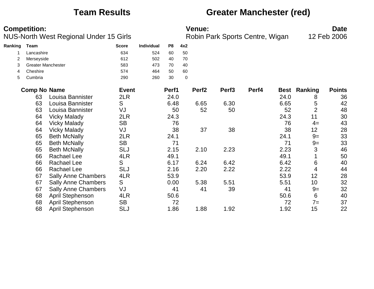### **Team Results Greater Manchester (red)**

| <b>Competition:</b> | <b>Venue:</b> | Date |
|---------------------|---------------|------|
|                     |               |      |

NUS-North West Regional Under 15 Girls **Robin Park Sports Centre, Wigan** 12 Feb 2006

| Ranking | Team                |                            | <b>Score</b> | Individual | P <sub>8</sub> | 4x2       |                   |                   |       |             |                |               |
|---------|---------------------|----------------------------|--------------|------------|----------------|-----------|-------------------|-------------------|-------|-------------|----------------|---------------|
|         | Lancashire          |                            | 634          | 524        | 60             | 50        |                   |                   |       |             |                |               |
| 2       | Merseyside          |                            | 612          | 502        | 40             | 70        |                   |                   |       |             |                |               |
| 3       |                     | <b>Greater Manchester</b>  | 583          | 473        | 70             | 40        |                   |                   |       |             |                |               |
| 4       | Cheshire            |                            | 574          | 464        | 50             | 60        |                   |                   |       |             |                |               |
| 5       | Cumbria             |                            | 290          | 260        | 30             | $\pmb{0}$ |                   |                   |       |             |                |               |
|         | <b>Comp No Name</b> |                            | <b>Event</b> |            | Perf1          |           | Perf <sub>2</sub> | Perf <sub>3</sub> | Perf4 | <b>Best</b> | Ranking        | <b>Points</b> |
|         | 63                  | Louisa Bannister           | 2LR          |            | 24.0           |           |                   |                   |       | 24.0        | 8              | 36            |
|         | 63                  | Louisa Bannister           | S            |            | 6.48           |           | 6.65              | 6.30              |       | 6.65        | 5              | 42            |
|         | 63                  | Louisa Bannister           | VJ           |            | 50             |           | 52                | 50                |       | 52          | $\overline{2}$ | 48            |
|         | 64                  | <b>Vicky Malady</b>        | 2LR          |            | 24.3           |           |                   |                   |       | 24.3        | 11             | 30            |
|         | 64                  | <b>Vicky Malady</b>        | <b>SB</b>    |            | 76             |           |                   |                   |       | 76          | $4=$           | 43            |
|         | 64                  | <b>Vicky Malady</b>        | VJ           |            | 38             |           | 37                | 38                |       | 38          | 12             | 28            |
|         | 65                  | <b>Beth McNally</b>        | 2LR          |            | 24.1           |           |                   |                   |       | 24.1        | $9=$           | 33            |
|         | 65                  | <b>Beth McNally</b>        | <b>SB</b>    |            | 71             |           |                   |                   |       | 71          | $9=$           | 33            |
|         | 65                  | <b>Beth McNally</b>        | SLJ          |            | 2.15           |           | 2.10              | 2.23              |       | 2.23        | 3              | 46            |
|         | 66                  | <b>Rachael Lee</b>         | 4LR          |            | 49.1           |           |                   |                   |       | 49.1        |                | 50            |
|         | 66                  | <b>Rachael Lee</b>         | S            |            | 6.17           |           | 6.24              | 6.42              |       | 6.42        | 6              | 40            |
|         | 66                  | <b>Rachael Lee</b>         | <b>SLJ</b>   |            | 2.16           |           | 2.20              | 2.22              |       | 2.22        | 4              | 44            |
|         | 67                  | <b>Sally Anne Chambers</b> | 4LR          |            | 53.9           |           |                   |                   |       | 53.9        | 12             | 28            |
|         | 67                  | <b>Sally Anne Chambers</b> | S            |            | 0.00           |           | 5.38              | 5.51              |       | 5.51        | 10             | 32            |
|         | 67                  | <b>Sally Anne Chambers</b> | VJ           |            | 41             |           | 41                | 39                |       | 41          | $9=$           | 32            |
|         | 68                  | April Stephenson           | 4LR          |            | 50.6           |           |                   |                   |       | 50.6        | 6              | 40            |
|         | 68                  | April Stephenson           | <b>SB</b>    |            | 72             |           |                   |                   |       | 72          | $7 =$          | 37            |
|         | 68                  | April Stephenson           | <b>SLJ</b>   |            | 1.86           |           | 1.88              | 1.92              |       | 1.92        | 15             | 22            |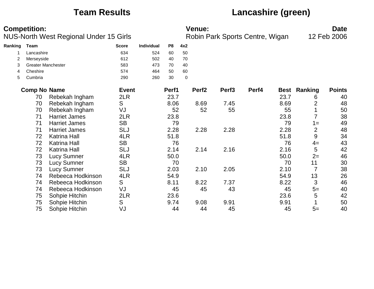# **Team Results Lancashire (green)**

|         | <b>Competition:</b>       |                                        |              |            |       |     | Venue:            |                                 |       |      |                | <b>Date</b>   |
|---------|---------------------------|----------------------------------------|--------------|------------|-------|-----|-------------------|---------------------------------|-------|------|----------------|---------------|
|         |                           | NUS-North West Regional Under 15 Girls |              |            |       |     |                   | Robin Park Sports Centre, Wigan |       |      |                | 12 Feb 2006   |
| Ranking | Team                      |                                        | <b>Score</b> | Individual | P8    | 4x2 |                   |                                 |       |      |                |               |
|         | Lancashire                |                                        | 634          | 524        | 60    | 50  |                   |                                 |       |      |                |               |
|         | Merseyside                |                                        | 612          | 502        | 40    | 70  |                   |                                 |       |      |                |               |
| 3       | <b>Greater Manchester</b> |                                        | 583          | 473        | 70    | 40  |                   |                                 |       |      |                |               |
| 4       | Cheshire                  |                                        | 574          | 464        | 50    | 60  |                   |                                 |       |      |                |               |
| 5       | Cumbria                   |                                        | 290          | 260        | 30    | 0   |                   |                                 |       |      |                |               |
|         | <b>Comp No Name</b>       |                                        | <b>Event</b> |            | Perf1 |     | Perf <sub>2</sub> | Perf <sub>3</sub>               | Perf4 | Best | Ranking        | <b>Points</b> |
|         | 70                        | Rebekah Ingham                         | 2LR          |            | 23.7  |     |                   |                                 |       | 23.7 | 6              | 40            |
|         | 70                        | Rebekah Ingham                         | S            |            | 8.06  |     | 8.69              | 7.45                            |       | 8.69 | 2              | 48            |
|         | 70                        | Rebekah Ingham                         | VJ           |            | 52    |     | 52                | 55                              |       | 55   |                | 50            |
|         | 71                        | <b>Harriet James</b>                   | 2LR          |            | 23.8  |     |                   |                                 |       | 23.8 |                | 38            |
|         | 71                        | <b>Harriet James</b>                   | <b>SB</b>    |            | 79    |     |                   |                                 |       | 79   | $1 =$          | 49            |
|         | 71                        | <b>Harriet James</b>                   | <b>SLJ</b>   |            | 2.28  |     | 2.28              | 2.28                            |       | 2.28 | $\overline{2}$ | 48            |
|         | 72                        | <b>Katrina Hall</b>                    | 4LR          |            | 51.8  |     |                   |                                 |       | 51.8 | 9              | 34            |
|         | 72                        | <b>Katrina Hall</b>                    | <b>SB</b>    |            | 76    |     |                   |                                 |       | 76   | $4=$           | 43            |
|         | 72                        | <b>Katrina Hall</b>                    | <b>SLJ</b>   |            | 2.14  |     | 2.14              | 2.16                            |       | 2.16 | 5              | 42            |
|         | 73                        | <b>Lucy Sumner</b>                     | 4LR          |            | 50.0  |     |                   |                                 |       | 50.0 | $2=$           | 46            |
|         | 73                        | <b>Lucy Sumner</b>                     | <b>SB</b>    |            | 70    |     |                   |                                 |       | 70   | 11             | 30            |
|         | 73                        | <b>Lucy Sumner</b>                     | <b>SLJ</b>   |            | 2.03  |     | 2.10              | 2.05                            |       | 2.10 | $\overline{7}$ | 38            |
|         | 74                        | Rebeeca Hodkinson                      | 4LR          |            | 54.9  |     |                   |                                 |       | 54.9 | 13             | 26            |
|         | 74                        | Rebeeca Hodkinson                      | S            |            | 8.11  |     | 8.22              | 7.37                            |       | 8.22 | 3              | 46            |
|         | 74                        | Rebeeca Hodkinson                      | VJ           |            | 45    |     | 45                | 43                              |       | 45   | $5=$           | 40            |
|         | 75                        | Sohpie Hitchin                         | 2LR          |            | 23.6  |     |                   |                                 |       | 23.6 | 5              | 42            |
|         | 75                        | Sohpie Hitchin                         | S            |            | 9.74  |     | 9.08              | 9.91                            |       | 9.91 |                | 50            |
|         | 75                        | Sohpie Hitchin                         | VJ           |            | 44    |     | 44                | 45                              |       | 45   | $5=$           | 40            |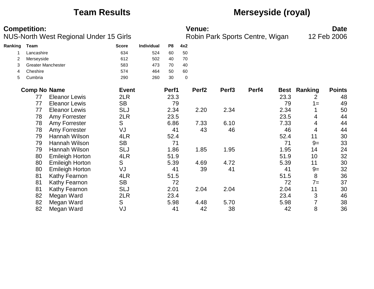## **Team Results Merseyside (royal)**

|         | <b>Competition:</b>       | <b>NUS-North West Regional Under 15 Girls</b> |              |            |                |           | <b>Venue:</b>     | Robin Park Sports Centre, Wigan |       |      |                     | <b>Date</b><br>12 Feb 2006 |
|---------|---------------------------|-----------------------------------------------|--------------|------------|----------------|-----------|-------------------|---------------------------------|-------|------|---------------------|----------------------------|
| Ranking | <b>Team</b>               |                                               | <b>Score</b> | Individual | P <sub>8</sub> | 4x2       |                   |                                 |       |      |                     |                            |
|         | Lancashire                |                                               | 634          | 524        | 60             | 50        |                   |                                 |       |      |                     |                            |
| 2       | Merseyside                |                                               | 612          | 502        | 40             | 70        |                   |                                 |       |      |                     |                            |
| 3       | <b>Greater Manchester</b> |                                               | 583          | 473        | 70             | 40        |                   |                                 |       |      |                     |                            |
|         | Cheshire                  |                                               | 574          | 464        | 50             | 60        |                   |                                 |       |      |                     |                            |
| 5       | Cumbria                   |                                               | 290          | 260        | 30             | $\pmb{0}$ |                   |                                 |       |      |                     |                            |
|         | <b>Comp No Name</b>       |                                               | <b>Event</b> |            | Perf1          |           | Perf <sub>2</sub> | Perf <sub>3</sub>               | Perf4 |      | <b>Best Ranking</b> | <b>Points</b>              |
|         | 77                        | <b>Eleanor Lewis</b>                          | 2LR          |            | 23.3           |           |                   |                                 |       | 23.3 | 2                   | 48                         |
|         | 77                        | <b>Eleanor Lewis</b>                          | <b>SB</b>    |            | 79             |           |                   |                                 |       | 79   | $1 =$               | 49                         |
|         | 77                        | <b>Eleanor Lewis</b>                          | <b>SLJ</b>   |            | 2.34           |           | 2.20              | 2.34                            |       | 2.34 |                     | 50                         |
|         | 78                        | Amy Forrester                                 | 2LR          |            | 23.5           |           |                   |                                 |       | 23.5 | 4                   | 44                         |
|         | 78                        | Amy Forrester                                 | S            |            | 6.86           |           | 7.33              | 6.10                            |       | 7.33 | 4                   | 44                         |
|         | 78                        | Amy Forrester                                 | VJ           |            | 41             |           | 43                | 46                              |       | 46   | 4                   | 44                         |
|         | 79                        | Hannah Wilson                                 | 4LR          |            | 52.4           |           |                   |                                 |       | 52.4 | 11                  | 30                         |
|         | 79                        | Hannah Wilson                                 | <b>SB</b>    |            | 71             |           |                   |                                 |       | 71   | $9=$                | 33                         |
|         | 79                        | Hannah Wilson                                 | <b>SLJ</b>   |            | 1.86           |           | 1.85              | 1.95                            |       | 1.95 | 14                  | 24                         |
|         | 80                        | <b>Emileigh Horton</b>                        | 4LR          |            | 51.9           |           |                   |                                 |       | 51.9 | 10                  | 32                         |
|         | 80                        | <b>Emileigh Horton</b>                        | S            |            | 5.39           |           | 4.69              | 4.72                            |       | 5.39 | 11                  | 30                         |
|         | 80                        | <b>Emileigh Horton</b>                        | VJ           |            | 41             |           | 39                | 41                              |       | 41   | $9=$                | 32                         |
|         | 81                        | Kathy Fearnon                                 | 4LR          |            | 51.5           |           |                   |                                 |       | 51.5 | 8                   | 36                         |
|         | 81                        | Kathy Fearnon                                 | <b>SB</b>    |            | 72             |           |                   |                                 |       | 72   | $7=$                | 37                         |
|         | 81                        | Kathy Fearnon                                 | <b>SLJ</b>   |            | 2.01           |           | 2.04              | 2.04                            |       | 2.04 | 11                  | 30                         |
|         | 82                        | Megan Ward                                    | 2LR          |            | 23.4           |           |                   |                                 |       | 23.4 | 3                   | 46                         |
|         | 82                        | Megan Ward                                    | S            |            | 5.98           |           | 4.48              | 5.70                            |       | 5.98 | 7                   | 38                         |
|         | 82                        | Megan Ward                                    | VJ           |            | 41             |           | 42                | 38                              |       | 42   | 8                   | 36                         |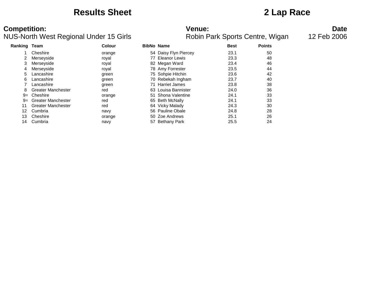### **Results Sheet 2 Lap Race**

### **Competition: Date**<br>**NUS-North West Regional Under 15 Girls Date**<br>**Robin Park Sports Centre, Wigan** 12 Feb 2006 NUS-North West Regional Under 15 Girls

| <b>Ranking Team</b> |                           | Colour | <b>BibNo Name</b>     | <b>Best</b> | <b>Points</b> |
|---------------------|---------------------------|--------|-----------------------|-------------|---------------|
|                     | Cheshire                  | orange | 54 Daisy Flyn Piercey | 23.1        | 50            |
| 2                   | Merseyside                | royal  | 77 Eleanor Lewis      | 23.3        | 48            |
| 3                   | Merseyside                | royal  | 82 Megan Ward         | 23.4        | 46            |
| 4                   | Merseyside                | royal  | 78 Amy Forrester      | 23.5        | 44            |
| 5                   | Lancashire                | green  | 75 Sohpie Hitchin     | 23.6        | 42            |
| 6                   | Lancashire                | green  | 70 Rebekah Ingham     | 23.7        | 40            |
|                     | Lancashire                | green  | 71 Harriet James      | 23.8        | 38            |
| 8                   | Greater Manchester        | red    | 63 Louisa Bannister   | 24.0        | 36            |
| $9=$                | Cheshire                  | orange | 51 Shona Valentine    | 24.1        | 33            |
| $9=$                | Greater Manchester        | red    | 65 Beth McNally       | 24.1        | 33            |
| 11                  | <b>Greater Manchester</b> | red    | 64 Vicky Malady       | 24.3        | 30            |
| 12                  | Cumbria                   | navy   | 56 Pauline Obale      | 24.8        | 28            |
| 13                  | Cheshire                  | orange | 50 Zoe Andrews        | 25.1        | 26            |
| 14                  | Cumbria                   | navy   | 57 Bethany Park       | 25.5        | 24            |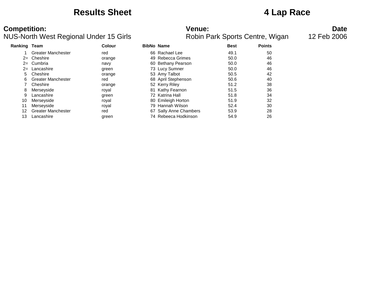### **Results Sheet 4 Lap Race**

### **Competition: Date**<br>**NUS-North West Regional Under 15 Girls Date**<br>**Robin Park Sports Centre, Wigan** 12 Feb 2006 NUS-North West Regional Under 15 Girls

| <b>Ranking Team</b> |                           | <b>Colour</b> | <b>BibNo Name</b>      | <b>Best</b> | <b>Points</b> |
|---------------------|---------------------------|---------------|------------------------|-------------|---------------|
|                     | <b>Greater Manchester</b> | red           | 66 Rachael Lee         | 49.1        | 50            |
| $2 =$               | Cheshire                  | orange        | 49 Rebecca Grimes      | 50.0        | 46            |
| $2=$                | Cumbria                   | navy          | 60 Bethany Pearson     | 50.0        | 46            |
| $2=$                | Lancashire                | green         | 73 Lucy Sumner         | 50.0        | 46            |
| 5                   | Cheshire                  | orange        | 53 Amy Talbot          | 50.5        | 42            |
| 6                   | <b>Greater Manchester</b> | red           | 68 April Stephenson    | 50.6        | 40            |
|                     | Cheshire                  | orange        | 52 Kerry Riley         | 51.2        | 38            |
| 8                   | Merseyside                | royal         | 81 Kathy Fearnon       | 51.5        | 36            |
| 9                   | Lancashire                | green         | 72 Katrina Hall        | 51.8        | 34            |
| 10                  | Merseyside                | royal         | 80 Emileigh Horton     | 51.9        | 32            |
| 11                  | Merseyside                | roval         | 79 Hannah Wilson       | 52.4        | 30            |
| 12                  | <b>Greater Manchester</b> | red           | 67 Sally Anne Chambers | 53.9        | 28            |
| 13                  | Lancashire                | green         | 74 Rebeeca Hodkinson   | 54.9        | 26            |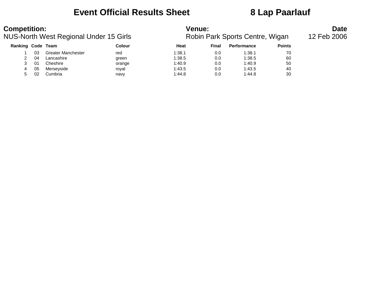### **Event Official Results Sheet 8 Lap Paarlauf**

| <b>Competition:</b><br>NUS-North West Regional Under 15 Girls |    |                           |               | <b>Venue:</b><br>Robin Park Sports Centre, Wigan | <b>Date</b><br>12 Feb 2006 |                    |               |  |
|---------------------------------------------------------------|----|---------------------------|---------------|--------------------------------------------------|----------------------------|--------------------|---------------|--|
| Ranking Code Team                                             |    |                           | <b>Colour</b> | Heat                                             | Final                      | <b>Performance</b> | <b>Points</b> |  |
|                                                               | 03 | <b>Greater Manchester</b> | red           | 1:38.1                                           | 0.0                        | 1:38.1             | 70            |  |
|                                                               | 04 | Lancashire                | green         | 1:38.5                                           | 0.0                        | 1:38.5             | 60            |  |
|                                                               | 01 | Cheshire                  | orange        | 1:40.9                                           | 0.0                        | 1:40.9             | 50            |  |
| 4                                                             | 05 | Merseyside                | roval         | 1:43.5                                           | 0.0                        | 1:43.5             | 40            |  |
|                                                               | 02 | Cumbria                   | navy          | 1:44.8                                           | 0.0                        | 1:44.8             | 30            |  |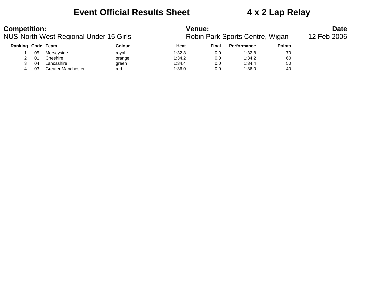### **Event Official Results Sheet 4 x 2 Lap Relay**

| <b>Competition:</b>                    |    |                           |        | <b>Venue:</b> |       | <b>Date</b>                     |               |             |
|----------------------------------------|----|---------------------------|--------|---------------|-------|---------------------------------|---------------|-------------|
| NUS-North West Regional Under 15 Girls |    |                           |        |               |       | Robin Park Sports Centre, Wigan |               | 12 Feb 2006 |
| Ranking Code Team                      |    |                           | Colour | Heat          | Final | <b>Performance</b>              | <b>Points</b> |             |
|                                        | 05 | Merseyside                | roval  | 1:32.8        | 0.0   | 1:32.8                          | 70            |             |
|                                        | 01 | Cheshire                  | orange | 1:34.2        | 0.0   | 1:34.2                          | 60            |             |
|                                        | 04 | Lancashire                | green  | 1:34.4        | 0.0   | 1:34.4                          | 50            |             |
| 4                                      | 03 | <b>Greater Manchester</b> | red    | 1:36.0        | 0.0   | 1:36.0                          | 40            |             |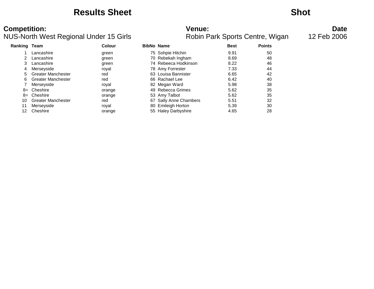### **Results Sheet Shot**

# **Competition: Date**<br>**Robin Park Sports Centre, Wigan** 12 Feb 2006<br>**Robin Park Sports Centre, Wigan** 12 Feb 2006

### NUS-North West Regional Under 15 Girls

| <b>Ranking Team</b> |                           | Colour | <b>BibNo Name</b>      | <b>Best</b> | <b>Points</b> |
|---------------------|---------------------------|--------|------------------------|-------------|---------------|
|                     | Lancashire                | green  | 75 Sohpie Hitchin      | 9.91        | 50            |
|                     | Lancashire                | green  | 70 Rebekah Ingham      | 8.69        | 48            |
| 3.                  | Lancashire                | green  | 74 Rebeeca Hodkinson   | 8.22        | 46            |
| 4                   | Merseyside                | roval  | 78 Amy Forrester       | 7.33        | 44            |
| 5                   | <b>Greater Manchester</b> | red    | 63 Louisa Bannister    | 6.65        | 42            |
| 6.                  | <b>Greater Manchester</b> | red    | 66 Rachael Lee         | 6.42        | 40            |
|                     | Merseyside                | roval  | 82 Megan Ward          | 5.98        | 38            |
|                     | $8 =$ Cheshire            | orange | 49 Rebecca Grimes      | 5.62        | 35            |
|                     | $8 =$ Cheshire            | orange | 53 Amy Talbot          | 5.62        | 35            |
| 10                  | <b>Greater Manchester</b> | red    | 67 Sally Anne Chambers | 5.51        | 32            |
| 11                  | Merseyside                | roval  | 80 Emileigh Horton     | 5.39        | 30            |
| 12                  | Cheshire                  | orange | 55 Haley Darbyshire    | 4.65        | 28            |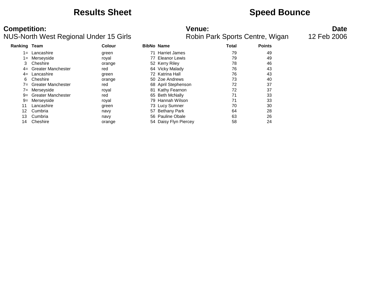### **Results Sheet Speed Bounce**

### **Competition: Date**<br>**Robin Park Sports Centre, Wigan** 12 Feb 2006<br>**Robin Park Sports Centre, Wigan** 12 Feb 2006 NUS-North West Regional Under 15 Girls

| <b>Ranking Team</b> |                           | Colour | <b>BibNo Name</b>     | Total | <b>Points</b> |
|---------------------|---------------------------|--------|-----------------------|-------|---------------|
| $1 =$               | Lancashire                | green  | 71 Harriet James      | 79    | 49            |
| $1 =$               | Merseyside                | royal  | 77 Eleanor Lewis      | 79    | 49            |
| 3                   | Cheshire                  | orange | 52 Kerry Riley        | 78    | 46            |
| $4=$                | <b>Greater Manchester</b> | red    | 64 Vicky Malady       | 76    | 43            |
| $4=$                | Lancashire                | green  | 72 Katrina Hall       | 76    | 43            |
| 6                   | Cheshire                  | orange | 50 Zoe Andrews        | 73    | 40            |
| $7 =$               | Greater Manchester        | red    | 68 April Stephenson   | 72    | 37            |
| $7 =$               | Merseyside                | royal  | 81 Kathy Fearnon      | 72    | 37            |
| $9=$                | <b>Greater Manchester</b> | red    | 65 Beth McNally       | 71    | 33            |
| 9=                  | Merseyside                | royal  | 79 Hannah Wilson      | 71    | 33            |
| 11                  | Lancashire                | green  | 73 Lucy Sumner        | 70    | 30            |
| 12                  | Cumbria                   | navy   | 57 Bethany Park       | 64    | 28            |
| 13                  | Cumbria                   | navy   | 56 Pauline Obale      | 63    | 26            |
| 14                  | Cheshire                  | orange | 54 Daisy Flyn Piercey | 58    | 24            |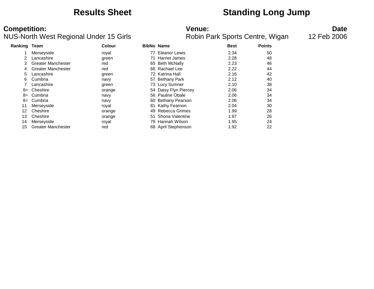### **Results Sheet Standing Long Jump**

### **Competition: Date**<br>**NUS-North West Regional Under 15 Girls Date**<br>**Robin Park Sports Centre, Wigan** 12 Feb 2006 NUS-North West Regional Under 15 Girls

| <b>Ranking Team</b> |                           | <b>Colour</b> |    | <b>BibNo Name</b>     | <b>Best</b> | <b>Points</b> |
|---------------------|---------------------------|---------------|----|-----------------------|-------------|---------------|
|                     | Merseyside                | royal         | 77 | Eleanor Lewis         | 2.34        | 50            |
| 2                   | Lancashire                | green         |    | 71 Harriet James      | 2.28        | 48            |
| 3                   | <b>Greater Manchester</b> | red           |    | 65 Beth McNally       | 2.23        | 46            |
| 4                   | <b>Greater Manchester</b> | red           |    | 66 Rachael Lee        | 2.22        | 44            |
| 5                   | Lancashire                | green         |    | 72 Katrina Hall       | 2.16        | 42            |
| 6                   | Cumbria                   | navy          |    | 57 Bethany Park       | 2.12        | 40            |
|                     | Lancashire                | green         |    | 73 Lucy Sumner        | 2.10        | 38            |
| 8=                  | Cheshire                  | orange        |    | 54 Daisy Flyn Piercey | 2.06        | 34            |
| 8=                  | Cumbria                   | navy          |    | 56 Pauline Obale      | 2.06        | 34            |
| 8=                  | Cumbria                   | navy          |    | 60 Bethany Pearson    | 2.06        | 34            |
| 11                  | Merseyside                | royal         |    | 81 Kathy Fearnon      | 2.04        | 30            |
| 12                  | Cheshire                  | orange        |    | 49 Rebecca Grimes     | 1.99        | 28            |
| 13                  | Cheshire                  | orange        |    | 51 Shona Valentine    | 1.97        | 26            |
| 14                  | Merseyside                | royal         |    | 79 Hannah Wilson      | 1.95        | 24            |
| 15                  | <b>Greater Manchester</b> | red           |    | 68 April Stephenson   | 1.92        | 22            |